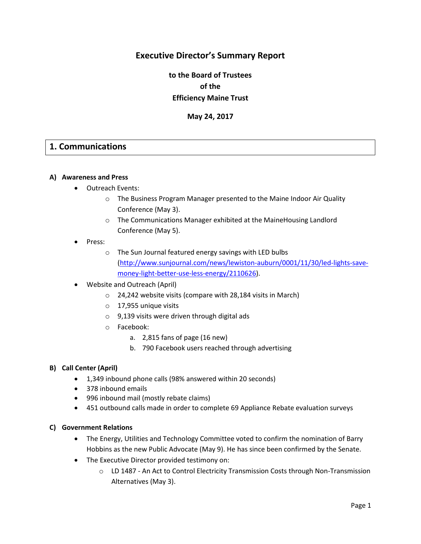# **Executive Director's Summary Report**

**to the Board of Trustees of the Efficiency Maine Trust**

**May 24, 2017**

## **1. Communications**

#### **A) Awareness and Press**

- Outreach Events:
	- o The Business Program Manager presented to the Maine Indoor Air Quality Conference (May 3).
	- o The Communications Manager exhibited at the MaineHousing Landlord Conference (May 5).
- Press:
	- o The Sun Journal featured energy savings with LED bulbs [\(http://www.sunjournal.com/news/lewiston-auburn/0001/11/30/led-lights-save](http://www.sunjournal.com/news/lewiston-auburn/0001/11/30/led-lights-save-money-light-better-use-less-energy/2110626)[money-light-better-use-less-energy/2110626\)](http://www.sunjournal.com/news/lewiston-auburn/0001/11/30/led-lights-save-money-light-better-use-less-energy/2110626).
- Website and Outreach (April)
	- o 24,242 website visits (compare with 28,184 visits in March)
	- o 17,955 unique visits
	- o 9,139 visits were driven through digital ads
	- o Facebook:
		- a. 2,815 fans of page (16 new)
		- b. 790 Facebook users reached through advertising

#### **B) Call Center (April)**

- 1,349 inbound phone calls (98% answered within 20 seconds)
- 378 inbound emails
- 996 inbound mail (mostly rebate claims)
- 451 outbound calls made in order to complete 69 Appliance Rebate evaluation surveys

#### **C) Government Relations**

- The Energy, Utilities and Technology Committee voted to confirm the nomination of Barry Hobbins as the new Public Advocate (May 9). He has since been confirmed by the Senate.
- The Executive Director provided testimony on:
	- o LD 1487 An Act to Control Electricity Transmission Costs through Non-Transmission Alternatives (May 3).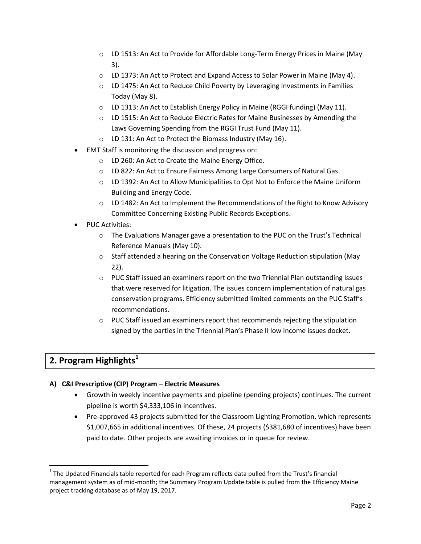- o LD 1513: An Act to Provide for Affordable Long-Term Energy Prices in Maine (May 3).
- o LD 1373: An Act to Protect and Expand Access to Solar Power in Maine (May 4).
- o LD 1475: An Act to Reduce Child Poverty by Leveraging Investments in Families Today (May 8).
- o LD 1313: An Act to Establish Energy Policy in Maine (RGGI funding) (May 11).
- o LD 1515: An Act to Reduce Electric Rates for Maine Businesses by Amending the Laws Governing Spending from the RGGI Trust Fund (May 11).
- o LD 131: An Act to Protect the Biomass Industry (May 16).
- EMT Staff is monitoring the discussion and progress on:
	- o LD 260: An Act to Create the Maine Energy Office.
	- o LD 822: An Act to Ensure Fairness Among Large Consumers of Natural Gas.
	- o LD 1392: An Act to Allow Municipalities to Opt Not to Enforce the Maine Uniform Building and Energy Code.
	- o LD 1482: An Act to Implement the Recommendations of the Right to Know Advisory Committee Concerning Existing Public Records Exceptions.
- PUC Activities:
	- $\circ$  The Evaluations Manager gave a presentation to the PUC on the Trust's Technical Reference Manuals (May 10).
	- $\circ$  Staff attended a hearing on the Conservation Voltage Reduction stipulation (May 22).
	- $\circ$  PUC Staff issued an examiners report on the two Triennial Plan outstanding issues that were reserved for litigation. The issues concern implementation of natural gas conservation programs. Efficiency submitted limited comments on the PUC Staff's recommendations.
	- $\circ$  PUC Staff issued an examiners report that recommends rejecting the stipulation signed by the parties in the Triennial Plan's Phase II low income issues docket.

# **2. Program Highlights<sup>1</sup>**

 $\overline{\phantom{a}}$ 

## **A) C&I Prescriptive (CIP) Program – Electric Measures**

- Growth in weekly incentive payments and pipeline (pending projects) continues. The current pipeline is worth \$4,333,106 in incentives.
- Pre-approved 43 projects submitted for the Classroom Lighting Promotion, which represents \$1,007,665 in additional incentives. Of these, 24 projects (\$381,680 of incentives) have been paid to date. Other projects are awaiting invoices or in queue for review.

 $1$  The Updated Financials table reported for each Program reflects data pulled from the Trust's financial management system as of mid-month; the Summary Program Update table is pulled from the Efficiency Maine project tracking database as of May 19, 2017.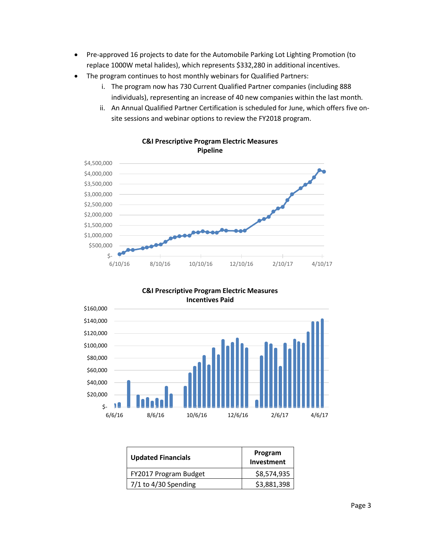- Pre-approved 16 projects to date for the Automobile Parking Lot Lighting Promotion (to replace 1000W metal halides), which represents \$332,280 in additional incentives.
- The program continues to host monthly webinars for Qualified Partners:
	- i. The program now has 730 Current Qualified Partner companies (including 888 individuals), representing an increase of 40 new companies within the last month.
	- ii. An Annual Qualified Partner Certification is scheduled for June, which offers five onsite sessions and webinar options to review the FY2018 program.



## **C&I Prescriptive Program Electric Measures Pipeline**

**C&I Prescriptive Program Electric Measures Incentives Paid**



| <b>Updated Financials</b> | Program<br>Investment |
|---------------------------|-----------------------|
| FY2017 Program Budget     | \$8,574,935           |
| $7/1$ to 4/30 Spending    | \$3,881,398           |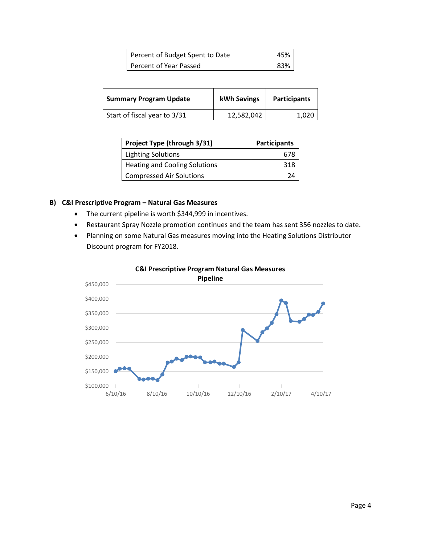| Percent of Budget Spent to Date | 45% |
|---------------------------------|-----|
| Percent of Year Passed          | 83% |

| <b>Summary Program Update</b> | kWh Savings | <b>Participants</b> |
|-------------------------------|-------------|---------------------|
| Start of fiscal year to 3/31  | 12,582,042  | 1.020               |

| Project Type (through 3/31)          | <b>Participants</b> |
|--------------------------------------|---------------------|
| <b>Lighting Solutions</b>            | 678                 |
| <b>Heating and Cooling Solutions</b> | 318                 |
| <b>Compressed Air Solutions</b>      | フハ                  |

#### **B) C&I Prescriptive Program – Natural Gas Measures**

- The current pipeline is worth \$344,999 in incentives.
- Restaurant Spray Nozzle promotion continues and the team has sent 356 nozzles to date.
- Planning on some Natural Gas measures moving into the Heating Solutions Distributor Discount program for FY2018.



#### **C&I Prescriptive Program Natural Gas Measures**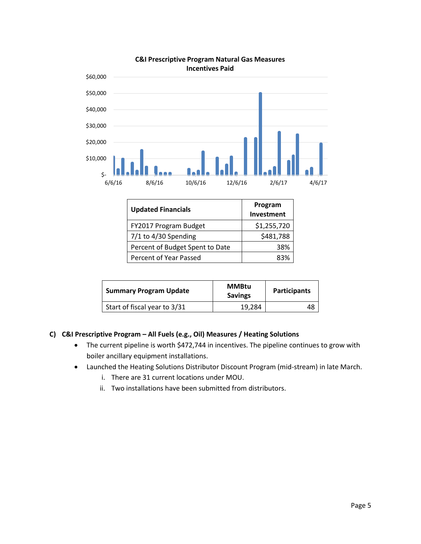

#### **C&I Prescriptive Program Natural Gas Measures Incentives Paid**

| <b>Updated Financials</b>       | Program<br>Investment |
|---------------------------------|-----------------------|
| FY2017 Program Budget           | \$1,255,720           |
| 7/1 to 4/30 Spending            | \$481,788             |
| Percent of Budget Spent to Date | 38%                   |
| Percent of Year Passed          | 83%                   |

| <b>Summary Program Update</b> | <b>MMBtu</b><br><b>Savings</b> | <b>Participants</b> |
|-------------------------------|--------------------------------|---------------------|
| Start of fiscal year to 3/31  | 19.284                         | 48                  |

## **C) C&I Prescriptive Program – All Fuels (e.g., Oil) Measures / Heating Solutions**

- The current pipeline is worth \$472,744 in incentives. The pipeline continues to grow with boiler ancillary equipment installations.
- Launched the Heating Solutions Distributor Discount Program (mid-stream) in late March.
	- i. There are 31 current locations under MOU.
	- ii. Two installations have been submitted from distributors.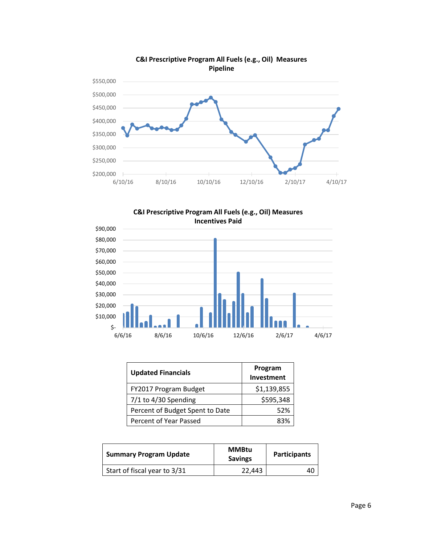





| <b>Updated Financials</b>       | Program<br>Investment |
|---------------------------------|-----------------------|
| FY2017 Program Budget           | \$1,139,855           |
| $7/1$ to $4/30$ Spending        | \$595,348             |
| Percent of Budget Spent to Date | 52%                   |
| Percent of Year Passed          | <b>830Y</b>           |

| <b>Summary Program Update</b> | <b>MMBtu</b><br><b>Savings</b> | <b>Participants</b> |
|-------------------------------|--------------------------------|---------------------|
| Start of fiscal year to 3/31  | 22.443                         |                     |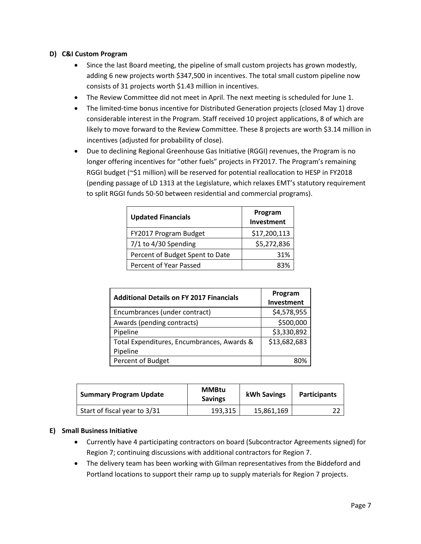#### **D) C&I Custom Program**

- Since the last Board meeting, the pipeline of small custom projects has grown modestly, adding 6 new projects worth \$347,500 in incentives. The total small custom pipeline now consists of 31 projects worth \$1.43 million in incentives.
- The Review Committee did not meet in April. The next meeting is scheduled for June 1.
- The limited-time bonus incentive for Distributed Generation projects (closed May 1) drove considerable interest in the Program. Staff received 10 project applications, 8 of which are likely to move forward to the Review Committee. These 8 projects are worth \$3.14 million in incentives (adjusted for probability of close).
- Due to declining Regional Greenhouse Gas Initiative (RGGI) revenues, the Program is no longer offering incentives for "other fuels" projects in FY2017. The Program's remaining RGGI budget (~\$1 million) will be reserved for potential reallocation to HESP in FY2018 (pending passage of LD 1313 at the Legislature, which relaxes EMT's statutory requirement to split RGGI funds 50-50 between residential and commercial programs).

| <b>Updated Financials</b>       | Program<br>Investment |
|---------------------------------|-----------------------|
| FY2017 Program Budget           | \$17,200,113          |
| $7/1$ to $4/30$ Spending        | \$5,272,836           |
| Percent of Budget Spent to Date | 31%                   |
| Percent of Year Passed          | <b>830.</b>           |

| <b>Additional Details on FY 2017 Financials</b> | Program<br>Investment |
|-------------------------------------------------|-----------------------|
| Encumbrances (under contract)                   | \$4,578,955           |
| Awards (pending contracts)                      | \$500,000             |
| Pipeline                                        | \$3,330,892           |
| Total Expenditures, Encumbrances, Awards &      | \$13,682,683          |
| Pipeline                                        |                       |
| Percent of Budget                               | 80%                   |

| <b>Summary Program Update</b> | <b>MMBtu</b><br><b>Savings</b> | kWh Savings | <b>Participants</b> |
|-------------------------------|--------------------------------|-------------|---------------------|
| Start of fiscal year to 3/31  | 193,315                        | 15,861,169  |                     |

## **E) Small Business Initiative**

- Currently have 4 participating contractors on board (Subcontractor Agreements signed) for Region 7; continuing discussions with additional contractors for Region 7.
- The delivery team has been working with Gilman representatives from the Biddeford and Portland locations to support their ramp up to supply materials for Region 7 projects.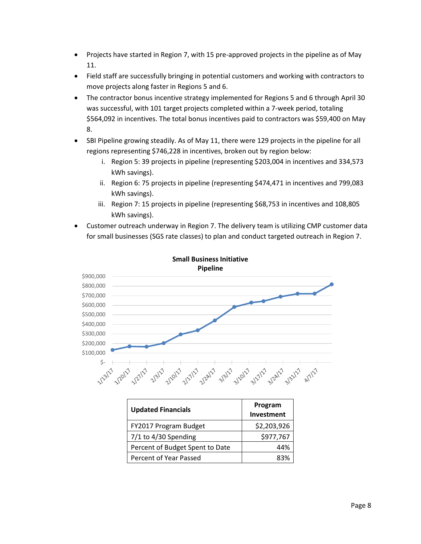- Projects have started in Region 7, with 15 pre-approved projects in the pipeline as of May 11.
- Field staff are successfully bringing in potential customers and working with contractors to move projects along faster in Regions 5 and 6.
- The contractor bonus incentive strategy implemented for Regions 5 and 6 through April 30 was successful, with 101 target projects completed within a 7-week period, totaling \$564,092 in incentives. The total bonus incentives paid to contractors was \$59,400 on May 8.
- SBI Pipeline growing steadily. As of May 11, there were 129 projects in the pipeline for all regions representing \$746,228 in incentives, broken out by region below:
	- i. Region 5: 39 projects in pipeline (representing \$203,004 in incentives and 334,573 kWh savings).
	- ii. Region 6: 75 projects in pipeline (representing \$474,471 in incentives and 799,083 kWh savings).
	- iii. Region 7: 15 projects in pipeline (representing \$68,753 in incentives and 108,805 kWh savings).
- Customer outreach underway in Region 7. The delivery team is utilizing CMP customer data for small businesses (SGS rate classes) to plan and conduct targeted outreach in Region 7.



| <b>Updated Financials</b>       | Program<br>Investment |
|---------------------------------|-----------------------|
| FY2017 Program Budget           | \$2,203,926           |
| $7/1$ to 4/30 Spending          | \$977,767             |
| Percent of Budget Spent to Date | 44%                   |
| Percent of Year Passed          | 83%                   |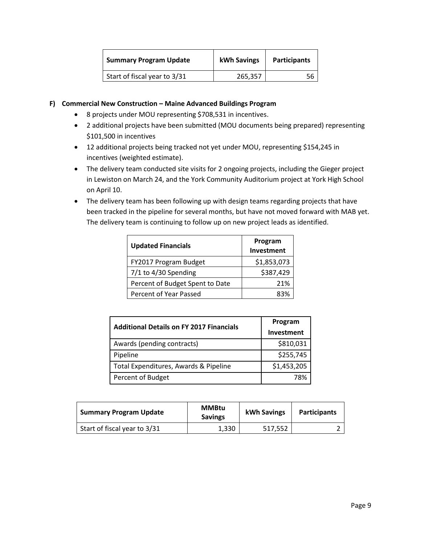| <b>Summary Program Update</b> | kWh Savings | <b>Participants</b> |
|-------------------------------|-------------|---------------------|
| Start of fiscal year to 3/31  | 265,357     | 56                  |

## **F) Commercial New Construction – Maine Advanced Buildings Program**

- 8 projects under MOU representing \$708,531 in incentives.
- 2 additional projects have been submitted (MOU documents being prepared) representing \$101,500 in incentives
- 12 additional projects being tracked not yet under MOU, representing \$154,245 in incentives (weighted estimate).
- The delivery team conducted site visits for 2 ongoing projects, including the Gieger project in Lewiston on March 24, and the York Community Auditorium project at York High School on April 10.
- The delivery team has been following up with design teams regarding projects that have been tracked in the pipeline for several months, but have not moved forward with MAB yet. The delivery team is continuing to follow up on new project leads as identified.

| <b>Updated Financials</b>       | Program<br>Investment |
|---------------------------------|-----------------------|
| FY2017 Program Budget           | \$1,853,073           |
| $7/1$ to $4/30$ Spending        | \$387,429             |
| Percent of Budget Spent to Date | 21%                   |
| Percent of Year Passed          | 83%                   |

| <b>Additional Details on FY 2017 Financials</b> | Program     |
|-------------------------------------------------|-------------|
|                                                 | Investment  |
| Awards (pending contracts)                      | \$810,031   |
| Pipeline                                        | \$255,745   |
| Total Expenditures, Awards & Pipeline           | \$1,453,205 |
| Percent of Budget                               | 78%         |

| <b>Summary Program Update</b> | <b>MMBtu</b><br><b>Savings</b> | <b>kWh Savings</b> | <b>Participants</b> |
|-------------------------------|--------------------------------|--------------------|---------------------|
| Start of fiscal year to 3/31  | 1.330                          | 517,552            |                     |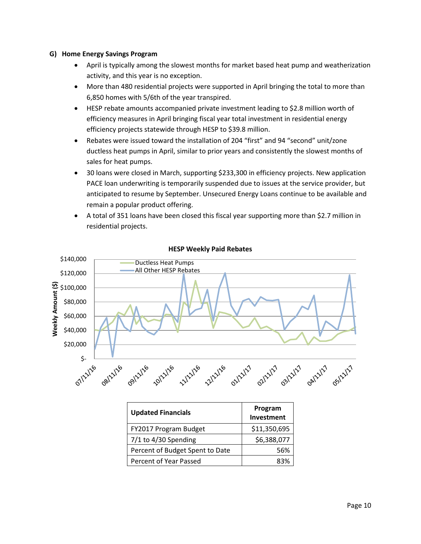#### **G) Home Energy Savings Program**

- April is typically among the slowest months for market based heat pump and weatherization activity, and this year is no exception.
- More than 480 residential projects were supported in April bringing the total to more than 6,850 homes with 5/6th of the year transpired.
- HESP rebate amounts accompanied private investment leading to \$2.8 million worth of efficiency measures in April bringing fiscal year total investment in residential energy efficiency projects statewide through HESP to \$39.8 million.
- Rebates were issued toward the installation of 204 "first" and 94 "second" unit/zone ductless heat pumps in April, similar to prior years and consistently the slowest months of sales for heat pumps.
- 30 loans were closed in March, supporting \$233,300 in efficiency projects. New application PACE loan underwriting is temporarily suspended due to issues at the service provider, but anticipated to resume by September. Unsecured Energy Loans continue to be available and remain a popular product offering.
- A total of 351 loans have been closed this fiscal year supporting more than \$2.7 million in residential projects.



#### **HESP Weekly Paid Rebates**

| <b>Updated Financials</b>       | Program<br>Investment |
|---------------------------------|-----------------------|
| FY2017 Program Budget           | \$11,350,695          |
| $7/1$ to 4/30 Spending          | \$6,388,077           |
| Percent of Budget Spent to Date | 56%                   |
| Percent of Year Passed          | 83%                   |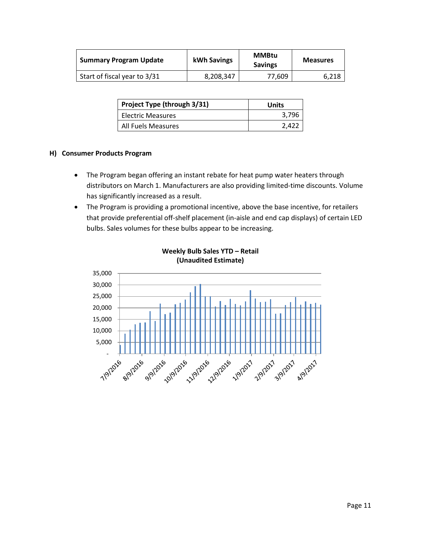| <b>Summary Program Update</b> | kWh Savings | <b>MMBtu</b><br><b>Savings</b> | <b>Measures</b> |
|-------------------------------|-------------|--------------------------------|-----------------|
| Start of fiscal year to 3/31  | 8,208,347   | 77.609                         | 6.218           |

| Project Type (through 3/31) | Units |
|-----------------------------|-------|
| Electric Measures           | 3,796 |
| All Fuels Measures          | 2.42. |

#### **H) Consumer Products Program**

- The Program began offering an instant rebate for heat pump water heaters through distributors on March 1. Manufacturers are also providing limited-time discounts. Volume has significantly increased as a result.
- The Program is providing a promotional incentive, above the base incentive, for retailers that provide preferential off-shelf placement (in-aisle and end cap displays) of certain LED bulbs. Sales volumes for these bulbs appear to be increasing.



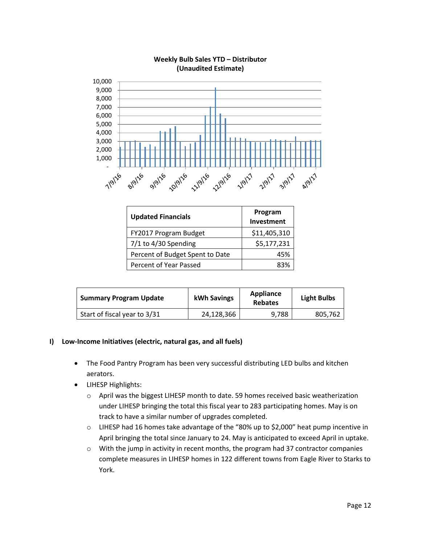

#### **Weekly Bulb Sales YTD – Distributor (Unaudited Estimate)**

| <b>Updated Financials</b>       | Program<br>Investment |
|---------------------------------|-----------------------|
| FY2017 Program Budget           | \$11,405,310          |
| $7/1$ to 4/30 Spending          | \$5,177,231           |
| Percent of Budget Spent to Date | 45%                   |
| Percent of Year Passed          | 83%                   |

| <b>Summary Program Update</b> | kWh Savings | Appliance<br><b>Rebates</b> | <b>Light Bulbs</b> |
|-------------------------------|-------------|-----------------------------|--------------------|
| Start of fiscal year to 3/31  | 24,128,366  | 9.788                       | 805,762            |

## **I) Low-Income Initiatives (electric, natural gas, and all fuels)**

- The Food Pantry Program has been very successful distributing LED bulbs and kitchen aerators.
- LIHESP Highlights:
	- $\circ$  April was the biggest LIHESP month to date. 59 homes received basic weatherization under LIHESP bringing the total this fiscal year to 283 participating homes. May is on track to have a similar number of upgrades completed.
	- o LIHESP had 16 homes take advantage of the "80% up to \$2,000" heat pump incentive in April bringing the total since January to 24. May is anticipated to exceed April in uptake.
	- o With the jump in activity in recent months, the program had 37 contractor companies complete measures in LIHESP homes in 122 different towns from Eagle River to Starks to York.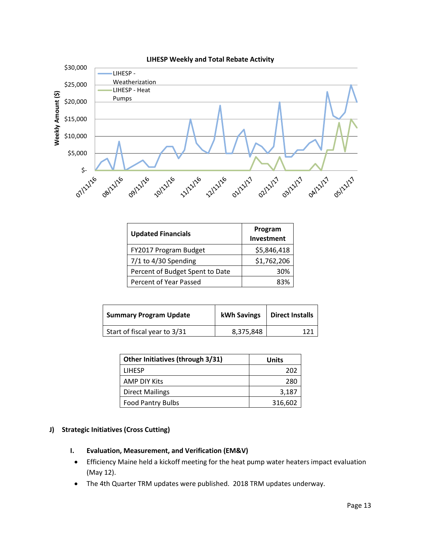

| <b>Updated Financials</b>       | Program<br>Investment |
|---------------------------------|-----------------------|
| FY2017 Program Budget           | \$5,846,418           |
| $7/1$ to $4/30$ Spending        | \$1,762,206           |
| Percent of Budget Spent to Date | 30%                   |
| Percent of Year Passed          |                       |

| <b>Summary Program Update</b> | kWh Savings | <b>Direct Installs</b> |
|-------------------------------|-------------|------------------------|
| Start of fiscal year to 3/31  | 8,375,848   |                        |

| Other Initiatives (through 3/31) | Units   |
|----------------------------------|---------|
| <b>LIHESP</b>                    | 202     |
| AMP DIY Kits                     | 280     |
| <b>Direct Mailings</b>           | 3,187   |
| <b>Food Pantry Bulbs</b>         | 316,602 |

#### **J) Strategic Initiatives (Cross Cutting)**

- **I. Evaluation, Measurement, and Verification (EM&V)**
- Efficiency Maine held a kickoff meeting for the heat pump water heaters impact evaluation (May 12).
- The 4th Quarter TRM updates were published. 2018 TRM updates underway.

#### Page 13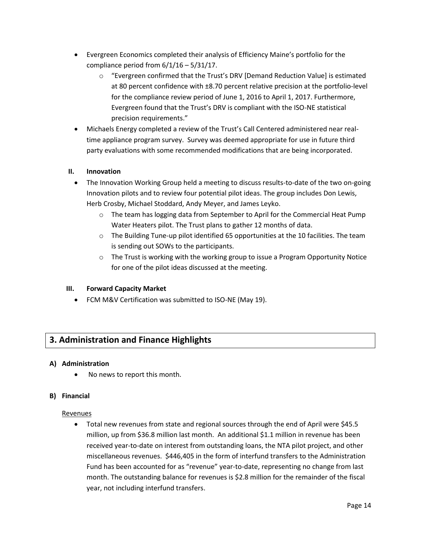- Evergreen Economics completed their analysis of Efficiency Maine's portfolio for the compliance period from  $6/1/16 - 5/31/17$ .
	- o "Evergreen confirmed that the Trust's DRV [Demand Reduction Value] is estimated at 80 percent confidence with ±8.70 percent relative precision at the portfolio-level for the compliance review period of June 1, 2016 to April 1, 2017. Furthermore, Evergreen found that the Trust's DRV is compliant with the ISO-NE statistical precision requirements."
- Michaels Energy completed a review of the Trust's Call Centered administered near realtime appliance program survey. Survey was deemed appropriate for use in future third party evaluations with some recommended modifications that are being incorporated.

## **II. Innovation**

- The Innovation Working Group held a meeting to discuss results-to-date of the two on-going Innovation pilots and to review four potential pilot ideas. The group includes Don Lewis, Herb Crosby, Michael Stoddard, Andy Meyer, and James Leyko.
	- o The team has logging data from September to April for the Commercial Heat Pump Water Heaters pilot. The Trust plans to gather 12 months of data.
	- $\circ$  The Building Tune-up pilot identified 65 opportunities at the 10 facilities. The team is sending out SOWs to the participants.
	- $\circ$  The Trust is working with the working group to issue a Program Opportunity Notice for one of the pilot ideas discussed at the meeting.

## **III. Forward Capacity Market**

• FCM M&V Certification was submitted to ISO-NE (May 19).

# **3. Administration and Finance Highlights**

#### **A) Administration**

No news to report this month.

#### **B) Financial**

#### Revenues

 Total new revenues from state and regional sources through the end of April were \$45.5 million, up from \$36.8 million last month. An additional \$1.1 million in revenue has been received year-to-date on interest from outstanding loans, the NTA pilot project, and other miscellaneous revenues. \$446,405 in the form of interfund transfers to the Administration Fund has been accounted for as "revenue" year-to-date, representing no change from last month. The outstanding balance for revenues is \$2.8 million for the remainder of the fiscal year, not including interfund transfers.